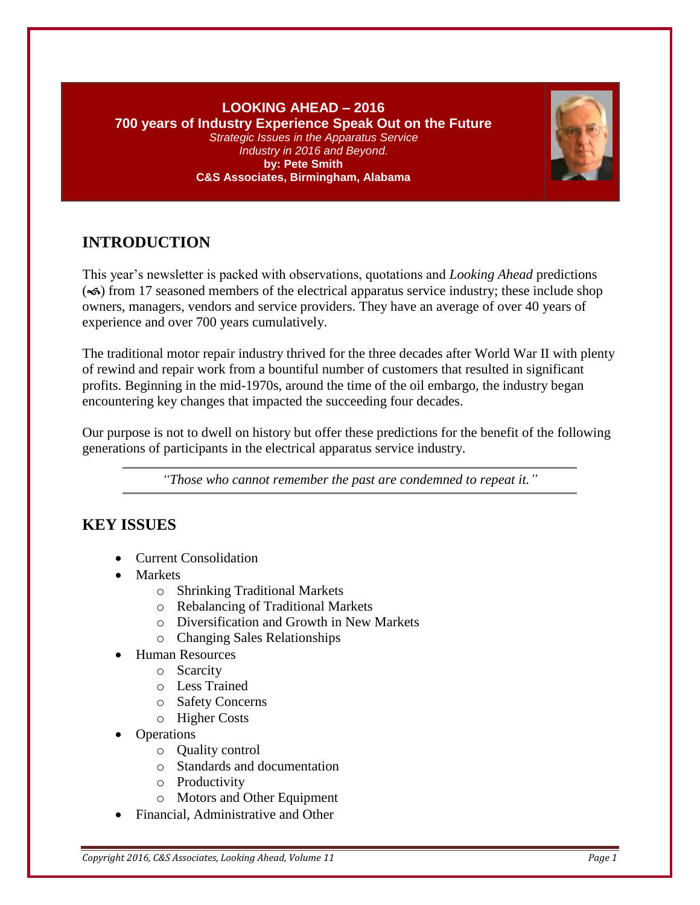### **LOOKING AHEAD – 2016 700 years of Industry Experience Speak Out on the Future** *Strategic Issues in the Apparatus Service Industry in 2016 and Beyond.* **by: Pete Smith C&S Associates, Birmingham, Alabama**



# **INTRODUCTION**

This year's newsletter is packed with observations, quotations and *Looking Ahead* predictions  $\infty$ ) from 17 seasoned members of the electrical apparatus service industry; these include shop owners, managers, vendors and service providers. They have an average of over 40 years of experience and over 700 years cumulatively.

The traditional motor repair industry thrived for the three decades after World War II with plenty of rewind and repair work from a bountiful number of customers that resulted in significant profits. Beginning in the mid-1970s, around the time of the oil embargo, the industry began encountering key changes that impacted the succeeding four decades.

Our purpose is not to dwell on history but offer these predictions for the benefit of the following generations of participants in the electrical apparatus service industry.

*"Those who cannot remember the past are condemned to repeat it."*

## **KEY ISSUES**

- Current Consolidation
- **Markets** 
	- o Shrinking Traditional Markets
	- o Rebalancing of Traditional Markets
	- o Diversification and Growth in New Markets
	- o Changing Sales Relationships
- Human Resources
	- o Scarcity
	- o Less Trained
	- o Safety Concerns
	- o Higher Costs
- Operations
	- o Quality control
	- o Standards and documentation
	- o Productivity
	- o Motors and Other Equipment
- Financial, Administrative and Other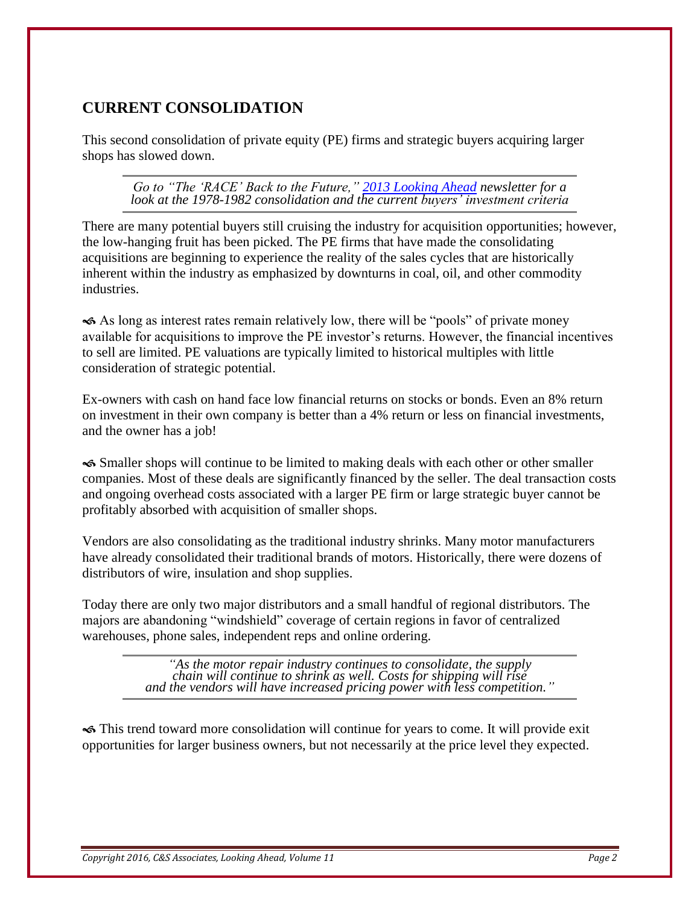## **CURRENT CONSOLIDATION**

This second consolidation of private equity (PE) firms and strategic buyers acquiring larger shops has slowed down.

*Go to "The 'RACE' Back to the Future," [2013 Looking Ahead](http://www.value-a-business.com/LookingAhead/2013LookingAhead.pdf) newsletter for a look at the 1978-1982 consolidation and the current buyers' investment criteria*

There are many potential buyers still cruising the industry for acquisition opportunities; however, the low-hanging fruit has been picked. The PE firms that have made the consolidating acquisitions are beginning to experience the reality of the sales cycles that are historically inherent within the industry as emphasized by downturns in coal, oil, and other commodity industries.

 As long as interest rates remain relatively low, there will be "pools" of private money available for acquisitions to improve the PE investor's returns. However, the financial incentives to sell are limited. PE valuations are typically limited to historical multiples with little consideration of strategic potential.

Ex-owners with cash on hand face low financial returns on stocks or bonds. Even an 8% return on investment in their own company is better than a 4% return or less on financial investments, and the owner has a job!

 Smaller shops will continue to be limited to making deals with each other or other smaller companies. Most of these deals are significantly financed by the seller. The deal transaction costs and ongoing overhead costs associated with a larger PE firm or large strategic buyer cannot be profitably absorbed with acquisition of smaller shops.

Vendors are also consolidating as the traditional industry shrinks. Many motor manufacturers have already consolidated their traditional brands of motors. Historically, there were dozens of distributors of wire, insulation and shop supplies.

Today there are only two major distributors and a small handful of regional distributors. The majors are abandoning "windshield" coverage of certain regions in favor of centralized warehouses, phone sales, independent reps and online ordering.

> *"As the motor repair industry continues to consolidate, the supply chain will continue to shrink as well. Costs for shipping will rise and the vendors will have increased pricing power with less competition."*

 This trend toward more consolidation will continue for years to come. It will provide exit opportunities for larger business owners, but not necessarily at the price level they expected.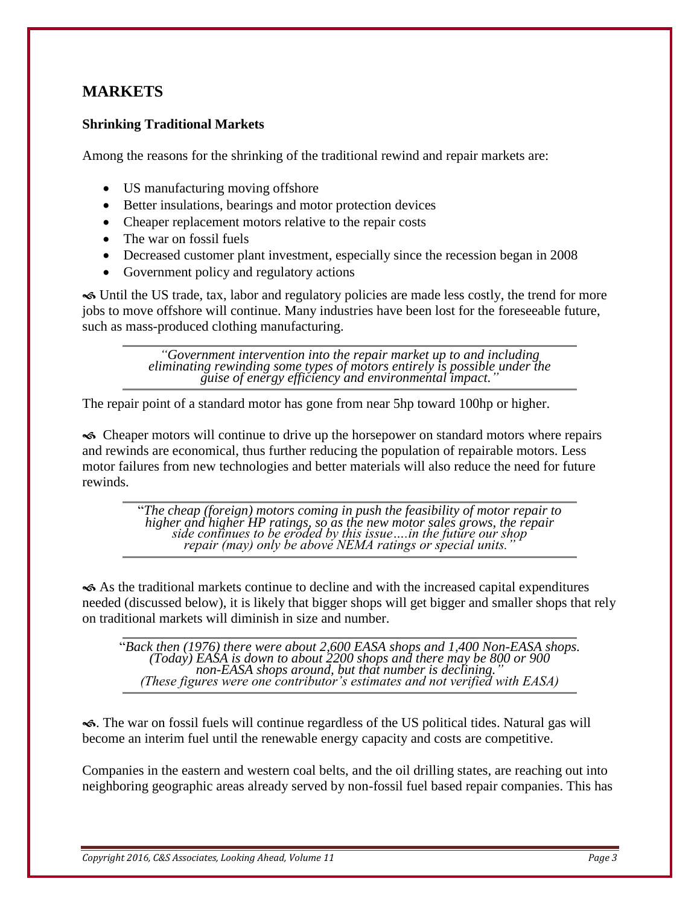## **MARKETS**

### **Shrinking Traditional Markets**

Among the reasons for the shrinking of the traditional rewind and repair markets are:

- US manufacturing moving offshore
- Better insulations, bearings and motor protection devices
- Cheaper replacement motors relative to the repair costs
- The war on fossil fuels
- Decreased customer plant investment, especially since the recession began in 2008
- Government policy and regulatory actions

 Until the US trade, tax, labor and regulatory policies are made less costly, the trend for more jobs to move offshore will continue. Many industries have been lost for the foreseeable future, such as mass-produced clothing manufacturing.

> *"Government intervention into the repair market up to and including eliminating rewinding some types of motors entirely is possible under the guise of energy efficiency and environmental impact."*

The repair point of a standard motor has gone from near 5hp toward 100hp or higher.

 Cheaper motors will continue to drive up the horsepower on standard motors where repairs and rewinds are economical, thus further reducing the population of repairable motors. Less motor failures from new technologies and better materials will also reduce the need for future rewinds.

> "*The cheap (foreign) motors coming in push the feasibility of motor repair to higher and higher HP ratings, so as the new motor sales grows, the repair side continues to be eroded by this issue….in the future our shop repair (may) only be above NEMA ratings or special units."*

 As the traditional markets continue to decline and with the increased capital expenditures needed (discussed below), it is likely that bigger shops will get bigger and smaller shops that rely on traditional markets will diminish in size and number.

"*Back then (1976) there were about 2,600 EASA shops and 1,400 Non-EASA shops. (Today) EASA is down to about 2200 shops and there may be 800 or 900 non-EASA shops around, but that number is declining." (These figures were one contributor's estimates and not verified with EASA)*

. The war on fossil fuels will continue regardless of the US political tides. Natural gas will become an interim fuel until the renewable energy capacity and costs are competitive.

Companies in the eastern and western coal belts, and the oil drilling states, are reaching out into neighboring geographic areas already served by non-fossil fuel based repair companies. This has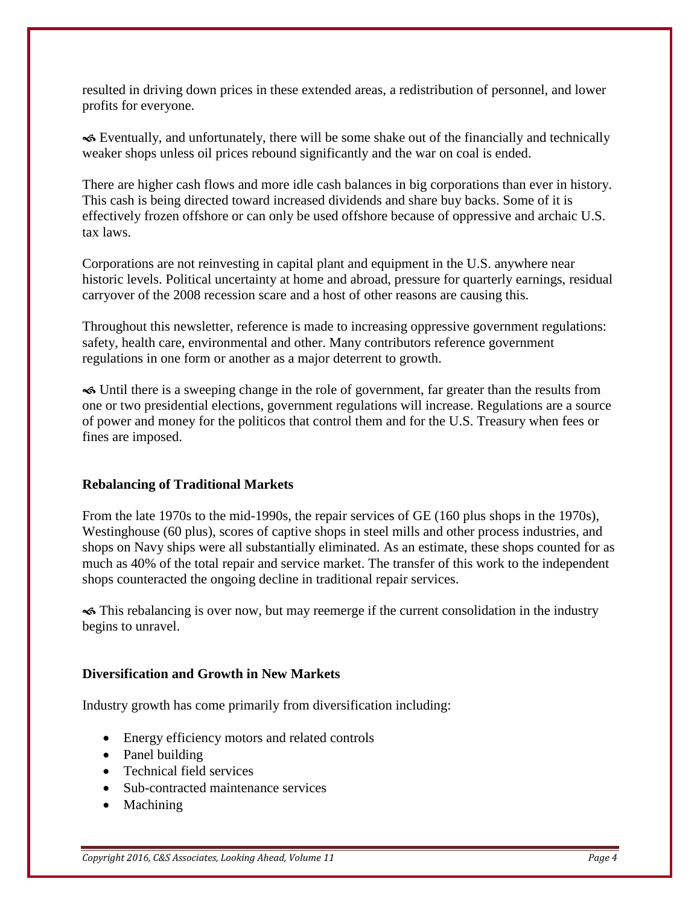resulted in driving down prices in these extended areas, a redistribution of personnel, and lower profits for everyone.

 Eventually, and unfortunately, there will be some shake out of the financially and technically weaker shops unless oil prices rebound significantly and the war on coal is ended.

There are higher cash flows and more idle cash balances in big corporations than ever in history. This cash is being directed toward increased dividends and share buy backs. Some of it is effectively frozen offshore or can only be used offshore because of oppressive and archaic U.S. tax laws.

Corporations are not reinvesting in capital plant and equipment in the U.S. anywhere near historic levels. Political uncertainty at home and abroad, pressure for quarterly earnings, residual carryover of the 2008 recession scare and a host of other reasons are causing this.

Throughout this newsletter, reference is made to increasing oppressive government regulations: safety, health care, environmental and other. Many contributors reference government regulations in one form or another as a major deterrent to growth.

 Until there is a sweeping change in the role of government, far greater than the results from one or two presidential elections, government regulations will increase. Regulations are a source of power and money for the politicos that control them and for the U.S. Treasury when fees or fines are imposed.

#### **Rebalancing of Traditional Markets**

From the late 1970s to the mid-1990s, the repair services of GE (160 plus shops in the 1970s), Westinghouse (60 plus), scores of captive shops in steel mills and other process industries, and shops on Navy ships were all substantially eliminated. As an estimate, these shops counted for as much as 40% of the total repair and service market. The transfer of this work to the independent shops counteracted the ongoing decline in traditional repair services.

 This rebalancing is over now, but may reemerge if the current consolidation in the industry begins to unravel.

#### **Diversification and Growth in New Markets**

Industry growth has come primarily from diversification including:

- Energy efficiency motors and related controls
- Panel building
- Technical field services
- Sub-contracted maintenance services
- Machining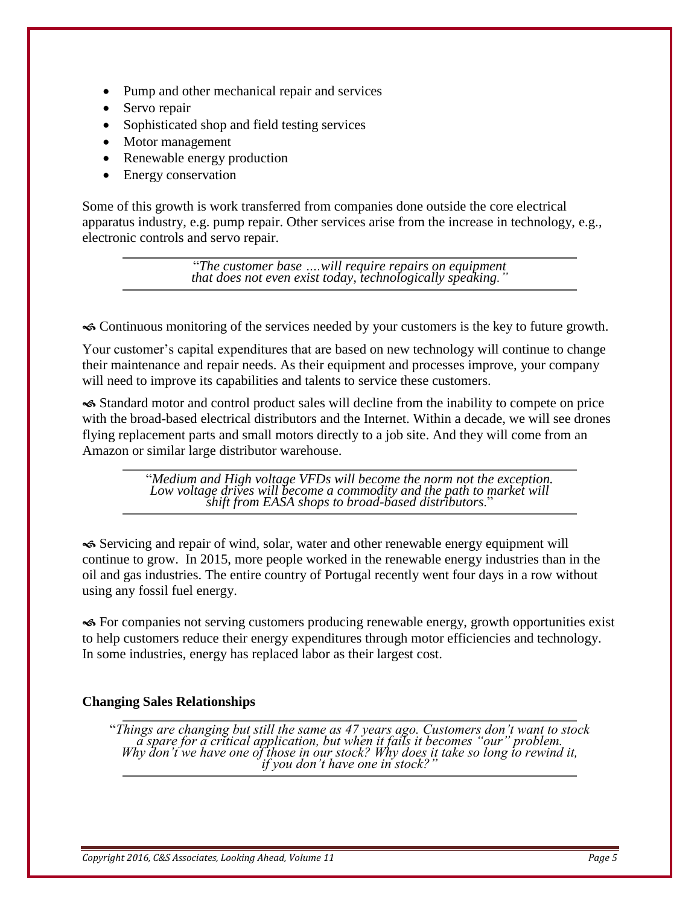- Pump and other mechanical repair and services
- Servo repair
- Sophisticated shop and field testing services
- Motor management
- Renewable energy production
- Energy conservation

Some of this growth is work transferred from companies done outside the core electrical apparatus industry, e.g. pump repair. Other services arise from the increase in technology, e.g., electronic controls and servo repair.

> "*The customer base ….will require repairs on equipment that does not even exist today, technologically speaking."*

Continuous monitoring of the services needed by your customers is the key to future growth.

Your customer's capital expenditures that are based on new technology will continue to change their maintenance and repair needs. As their equipment and processes improve, your company will need to improve its capabilities and talents to service these customers.

 Standard motor and control product sales will decline from the inability to compete on price with the broad-based electrical distributors and the Internet. Within a decade, we will see drones flying replacement parts and small motors directly to a job site. And they will come from an Amazon or similar large distributor warehouse.

> "*Medium and High voltage VFDs will become the norm not the exception.*  Low voltage drives will become a commodity and the path to market will *shift from EASA shops to broad-based distributors*."

 Servicing and repair of wind, solar, water and other renewable energy equipment will continue to grow. In 2015, more people worked in the renewable energy industries than in the oil and gas industries. The entire country of Portugal recently went four days in a row without using any fossil fuel energy.

 For companies not serving customers producing renewable energy, growth opportunities exist to help customers reduce their energy expenditures through motor efficiencies and technology. In some industries, energy has replaced labor as their largest cost.

## **Changing Sales Relationships**

"*Things are changing but still the same as 47 years ago. Customers don't want to stock a spare for a critical application, but when it fails it becomes "our" problem. Why don't we have one of those in our stock? Why does it take so long to rewind it, if you don't have one in stock?"*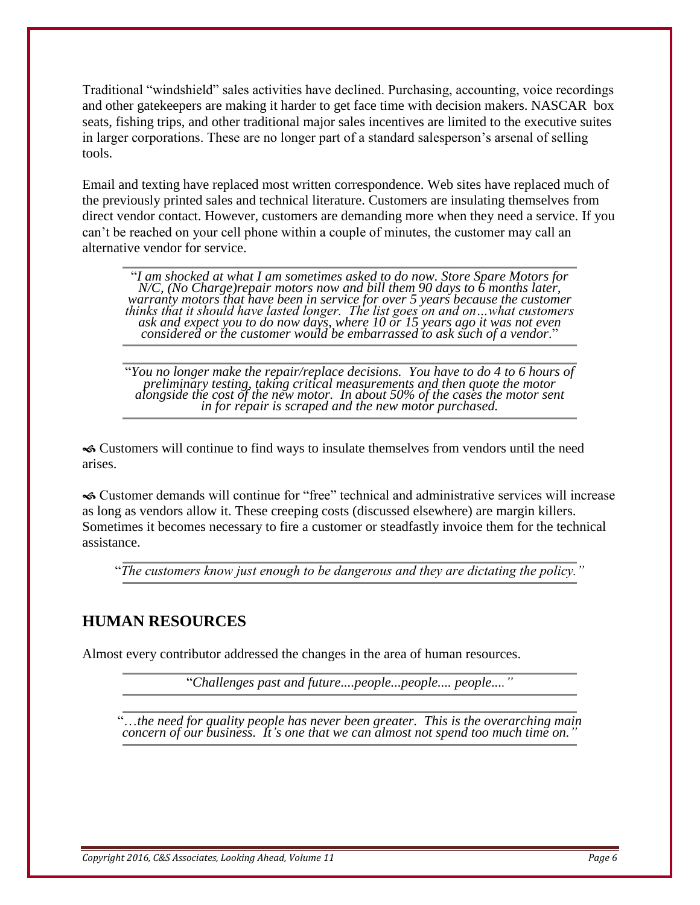Traditional "windshield" sales activities have declined. Purchasing, accounting, voice recordings and other gatekeepers are making it harder to get face time with decision makers. NASCAR box seats, fishing trips, and other traditional major sales incentives are limited to the executive suites in larger corporations. These are no longer part of a standard salesperson's arsenal of selling tools.

Email and texting have replaced most written correspondence. Web sites have replaced much of the previously printed sales and technical literature. Customers are insulating themselves from direct vendor contact. However, customers are demanding more when they need a service. If you can't be reached on your cell phone within a couple of minutes, the customer may call an alternative vendor for service.

"*I am shocked at what I am sometimes asked to do now. Store Spare Motors for N/C, (No Charge)repair motors now and bill them 90 days to 6 months later, warranty motors that have been in service for over 5 years because the customer thinks that it should have lasted longer. The list goes on and on…what customers ask and expect you to do now days, where 10 or 15 years ago it was not even considered or the customer would be embarrassed to ask such of a vendor*."

"*You no longer make the repair/replace decisions. You have to do 4 to 6 hours of preliminary testing, taking critical measurements and then quote the motor alongside the cost of the new motor. In about 50% of the cases the motor sent in for repair is scraped and the new motor purchased.*

 Customers will continue to find ways to insulate themselves from vendors until the need arises.

 Customer demands will continue for "free" technical and administrative services will increase as long as vendors allow it. These creeping costs (discussed elsewhere) are margin killers. Sometimes it becomes necessary to fire a customer or steadfastly invoice them for the technical assistance.

"*The customers know just enough to be dangerous and they are dictating the policy."*

## **HUMAN RESOURCES**

Almost every contributor addressed the changes in the area of human resources.

"*Challenges past and future....people...people.... people...."*

"…*the need for quality people has never been greater. This is the overarching main concern of our business. It's one that we can almost not spend too much time on."*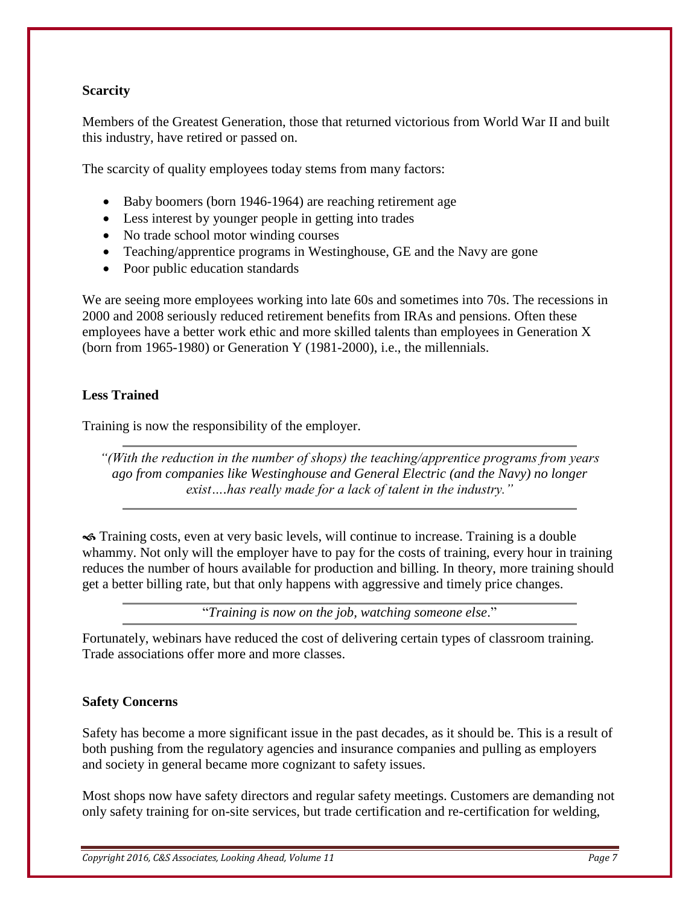### **Scarcity**

Members of the Greatest Generation, those that returned victorious from World War II and built this industry, have retired or passed on.

The scarcity of quality employees today stems from many factors:

- Baby boomers (born 1946-1964) are reaching retirement age
- Less interest by younger people in getting into trades
- No trade school motor winding courses
- Teaching/apprentice programs in Westinghouse, GE and the Navy are gone
- Poor public education standards

We are seeing more employees working into late 60s and sometimes into 70s. The recessions in 2000 and 2008 seriously reduced retirement benefits from IRAs and pensions. Often these employees have a better work ethic and more skilled talents than employees in Generation X (born from 1965-1980) or Generation Y (1981-2000), i.e., the millennials.

### **Less Trained**

Training is now the responsibility of the employer.

*"(With the reduction in the number of shops) the teaching/apprentice programs from years ago from companies like Westinghouse and General Electric (and the Navy) no longer exist….has really made for a lack of talent in the industry."*

 Training costs, even at very basic levels, will continue to increase. Training is a double whammy. Not only will the employer have to pay for the costs of training, every hour in training reduces the number of hours available for production and billing. In theory, more training should get a better billing rate, but that only happens with aggressive and timely price changes.

"*Training is now on the job, watching someone else*."

Fortunately, webinars have reduced the cost of delivering certain types of classroom training. Trade associations offer more and more classes.

#### **Safety Concerns**

Safety has become a more significant issue in the past decades, as it should be. This is a result of both pushing from the regulatory agencies and insurance companies and pulling as employers and society in general became more cognizant to safety issues.

Most shops now have safety directors and regular safety meetings. Customers are demanding not only safety training for on-site services, but trade certification and re-certification for welding,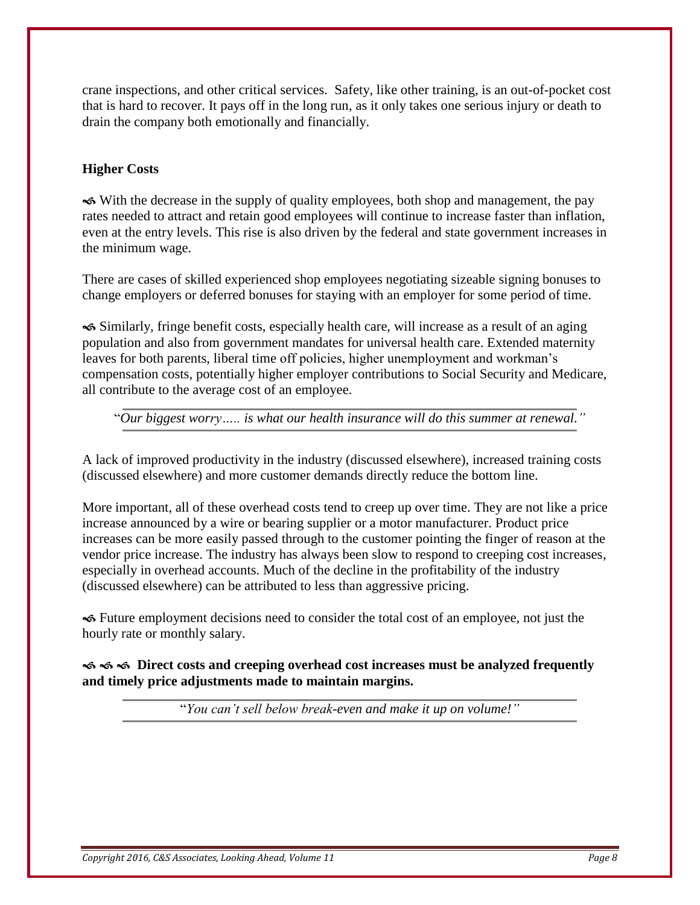crane inspections, and other critical services. Safety, like other training, is an out-of-pocket cost that is hard to recover. It pays off in the long run, as it only takes one serious injury or death to drain the company both emotionally and financially.

## **Higher Costs**

 With the decrease in the supply of quality employees, both shop and management, the pay rates needed to attract and retain good employees will continue to increase faster than inflation, even at the entry levels. This rise is also driven by the federal and state government increases in the minimum wage.

There are cases of skilled experienced shop employees negotiating sizeable signing bonuses to change employers or deferred bonuses for staying with an employer for some period of time.

 Similarly, fringe benefit costs, especially health care, will increase as a result of an aging population and also from government mandates for universal health care. Extended maternity leaves for both parents, liberal time off policies, higher unemployment and workman's compensation costs, potentially higher employer contributions to Social Security and Medicare, all contribute to the average cost of an employee.

"*Our biggest worry….. is what our health insurance will do this summer at renewal."*

A lack of improved productivity in the industry (discussed elsewhere), increased training costs (discussed elsewhere) and more customer demands directly reduce the bottom line.

More important, all of these overhead costs tend to creep up over time. They are not like a price increase announced by a wire or bearing supplier or a motor manufacturer. Product price increases can be more easily passed through to the customer pointing the finger of reason at the vendor price increase. The industry has always been slow to respond to creeping cost increases, especially in overhead accounts. Much of the decline in the profitability of the industry (discussed elsewhere) can be attributed to less than aggressive pricing.

 Future employment decisions need to consider the total cost of an employee, not just the hourly rate or monthly salary.

 $\leftrightarrow$   $\leftrightarrow$   $\circ$  Direct costs and creeping overhead cost increases must be analyzed frequently **and timely price adjustments made to maintain margins.**

"*You can't sell below break-even and make it up on volume!"*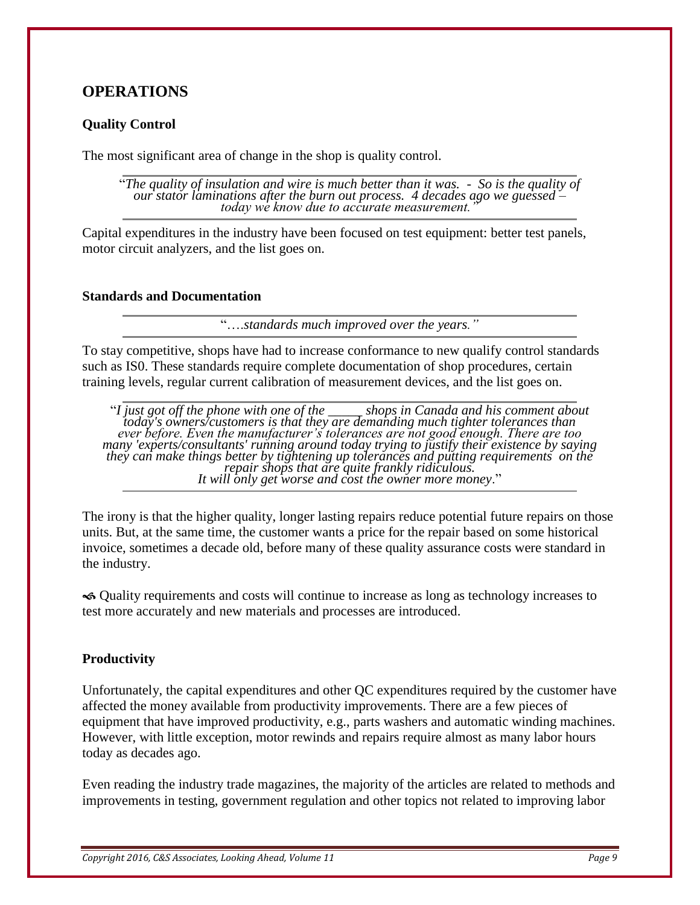## **OPERATIONS**

### **Quality Control**

The most significant area of change in the shop is quality control.

"*The quality of insulation and wire is much better than it was. - So is the quality of our stator laminations after the burn out process. 4 decades ago we guessed – today we know due to accurate measurement."*

Capital expenditures in the industry have been focused on test equipment: better test panels, motor circuit analyzers, and the list goes on.

#### **Standards and Documentation**

"….*standards much improved over the years."*

To stay competitive, shops have had to increase conformance to new qualify control standards such as IS0. These standards require complete documentation of shop procedures, certain training levels, regular current calibration of measurement devices, and the list goes on.

"*I just got off the phone with one of the \_\_\_\_\_ shops in Canada and his comment about today's owners/customers is that they are demanding much tighter tolerances than ever before. Even the manufacturer's tolerances are not good enough. There are too many 'experts/consultants' running around today trying to justify their existence by saying they can make things better by tightening up tolerances and putting requirements on the repair shops that are quite frankly ridiculous. It will only get worse and cost the owner more money*."

The irony is that the higher quality, longer lasting repairs reduce potential future repairs on those units. But, at the same time, the customer wants a price for the repair based on some historical invoice, sometimes a decade old, before many of these quality assurance costs were standard in the industry.

 Quality requirements and costs will continue to increase as long as technology increases to test more accurately and new materials and processes are introduced.

#### **Productivity**

Unfortunately, the capital expenditures and other QC expenditures required by the customer have affected the money available from productivity improvements. There are a few pieces of equipment that have improved productivity, e.g., parts washers and automatic winding machines. However, with little exception, motor rewinds and repairs require almost as many labor hours today as decades ago.

Even reading the industry trade magazines, the majority of the articles are related to methods and improvements in testing, government regulation and other topics not related to improving labor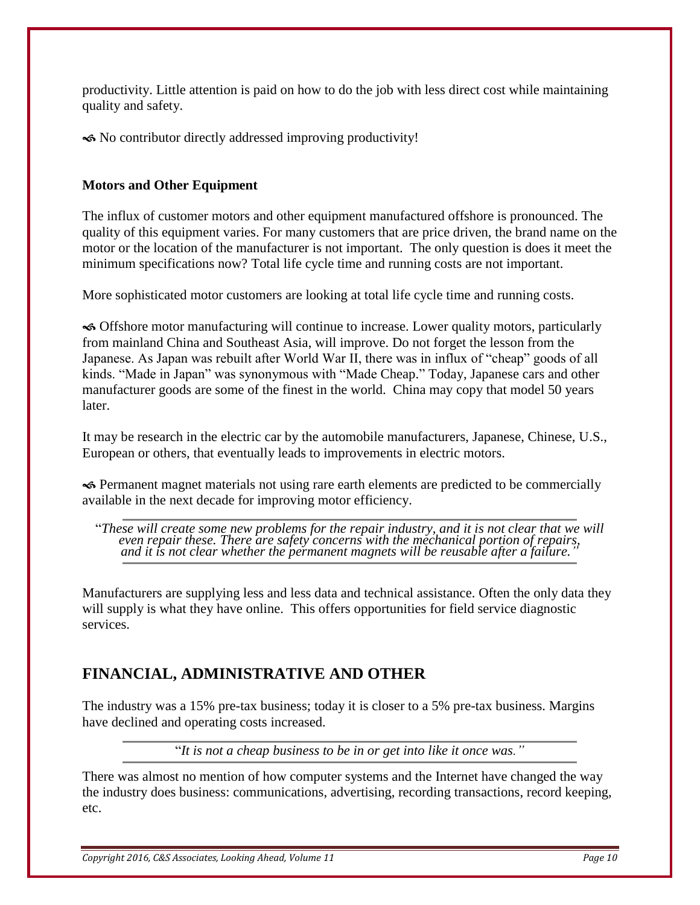productivity. Little attention is paid on how to do the job with less direct cost while maintaining quality and safety.

No contributor directly addressed improving productivity!

### **Motors and Other Equipment**

The influx of customer motors and other equipment manufactured offshore is pronounced. The quality of this equipment varies. For many customers that are price driven, the brand name on the motor or the location of the manufacturer is not important. The only question is does it meet the minimum specifications now? Total life cycle time and running costs are not important.

More sophisticated motor customers are looking at total life cycle time and running costs.

 Offshore motor manufacturing will continue to increase. Lower quality motors, particularly from mainland China and Southeast Asia, will improve. Do not forget the lesson from the Japanese. As Japan was rebuilt after World War II, there was in influx of "cheap" goods of all kinds. "Made in Japan" was synonymous with "Made Cheap." Today, Japanese cars and other manufacturer goods are some of the finest in the world. China may copy that model 50 years later.

It may be research in the electric car by the automobile manufacturers, Japanese, Chinese, U.S., European or others, that eventually leads to improvements in electric motors.

 Permanent magnet materials not using rare earth elements are predicted to be commercially available in the next decade for improving motor efficiency.

"*These will create some new problems for the repair industry, and it is not clear that we will even repair these. There are safety concerns with the mechanical portion of repairs, and it is not clear whether the permanent magnets will be reusable after a failure."*

Manufacturers are supplying less and less data and technical assistance. Often the only data they will supply is what they have online. This offers opportunities for field service diagnostic services.

## **FINANCIAL, ADMINISTRATIVE AND OTHER**

The industry was a 15% pre-tax business; today it is closer to a 5% pre-tax business. Margins have declined and operating costs increased.

"*It is not a cheap business to be in or get into like it once was."*

There was almost no mention of how computer systems and the Internet have changed the way the industry does business: communications, advertising, recording transactions, record keeping, etc.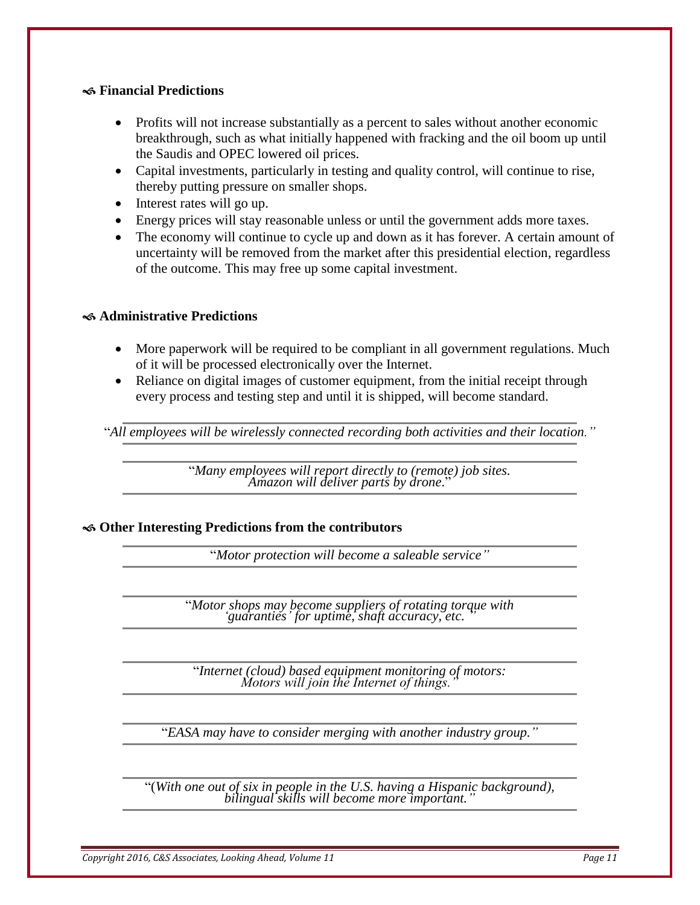#### **Financial Predictions**

- Profits will not increase substantially as a percent to sales without another economic breakthrough, such as what initially happened with fracking and the oil boom up until the Saudis and OPEC lowered oil prices.
- Capital investments, particularly in testing and quality control, will continue to rise, thereby putting pressure on smaller shops.
- Interest rates will go up.
- Energy prices will stay reasonable unless or until the government adds more taxes.
- The economy will continue to cycle up and down as it has forever. A certain amount of uncertainty will be removed from the market after this presidential election, regardless of the outcome. This may free up some capital investment.

#### **Administrative Predictions**

- More paperwork will be required to be compliant in all government regulations. Much of it will be processed electronically over the Internet.
- Reliance on digital images of customer equipment, from the initial receipt through every process and testing step and until it is shipped, will become standard.

"*All employees will be wirelessly connected recording both activities and their location."*

"*Many employees will report directly to (remote) job sites. Amazon will deliver parts by drone*."

**Other Interesting Predictions from the contributors**

"*Motor protection will become a saleable service"*

"*Motor shops may become suppliers of rotating torque with 'guaranties' for uptime, shaft accuracy, etc. "*

"*Internet (cloud) based equipment monitoring of motors: Motors will join the Internet of things."*

"*EASA may have to consider merging with another industry group."*

"(*With one out of six in people in the U.S. having a Hispanic background), bilingual skills will become more important."*

*Copyright 2016, C&S Associates, Looking Ahead, Volume 11 Page 11*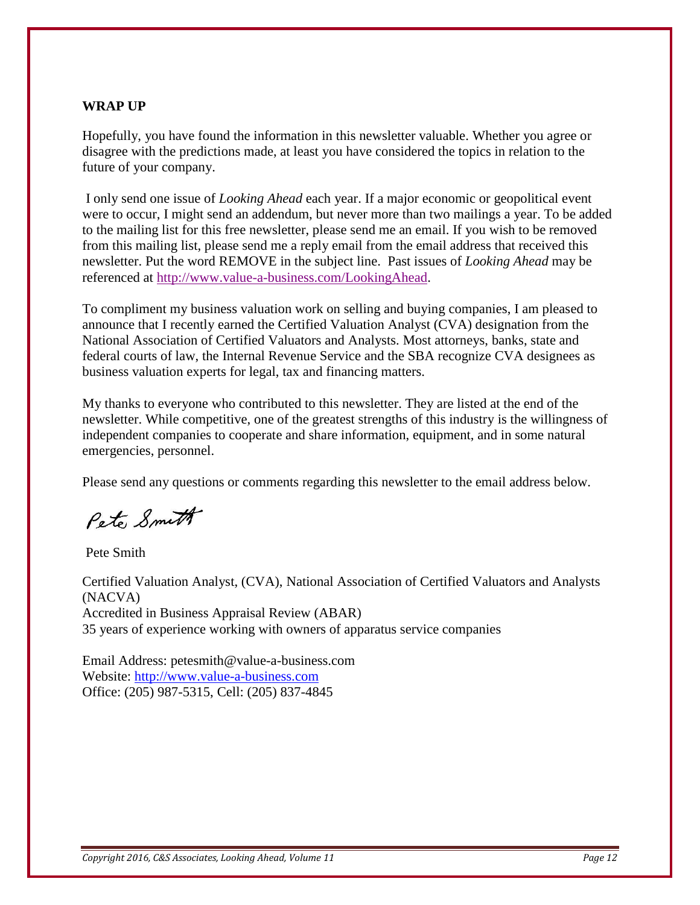#### **WRAP UP**

Hopefully, you have found the information in this newsletter valuable. Whether you agree or disagree with the predictions made, at least you have considered the topics in relation to the future of your company.

I only send one issue of *Looking Ahead* each year. If a major economic or geopolitical event were to occur, I might send an addendum, but never more than two mailings a year. To be added to the mailing list for this free newsletter, please send me an email. If you wish to be removed from this mailing list, please send me a reply email from the email address that received this newsletter. Put the word REMOVE in the subject line. Past issues of *Looking Ahead* may be referenced at [http://www.value-a-business.com/LookingAhead.](http://www.value-a-business.com/LookingAhead)

To compliment my business valuation work on selling and buying companies, I am pleased to announce that I recently earned the Certified Valuation Analyst (CVA) designation from the National Association of Certified Valuators and Analysts. Most attorneys, banks, state and federal courts of law, the Internal Revenue Service and the SBA recognize CVA designees as business valuation experts for legal, tax and financing matters.

My thanks to everyone who contributed to this newsletter. They are listed at the end of the newsletter. While competitive, one of the greatest strengths of this industry is the willingness of independent companies to cooperate and share information, equipment, and in some natural emergencies, personnel.

Please send any questions or comments regarding this newsletter to the email address below.

Pete Smith

Pete Smith

Certified Valuation Analyst, (CVA), National Association of Certified Valuators and Analysts (NACVA) Accredited in Business Appraisal Review (ABAR) 35 years of experience working with owners of apparatus service companies

Email Address: petesmith@value-a-business.com Website: [http://www.value-a-business.com](http://www.value-a-business.com/) Office: (205) 987-5315, Cell: (205) 837-4845